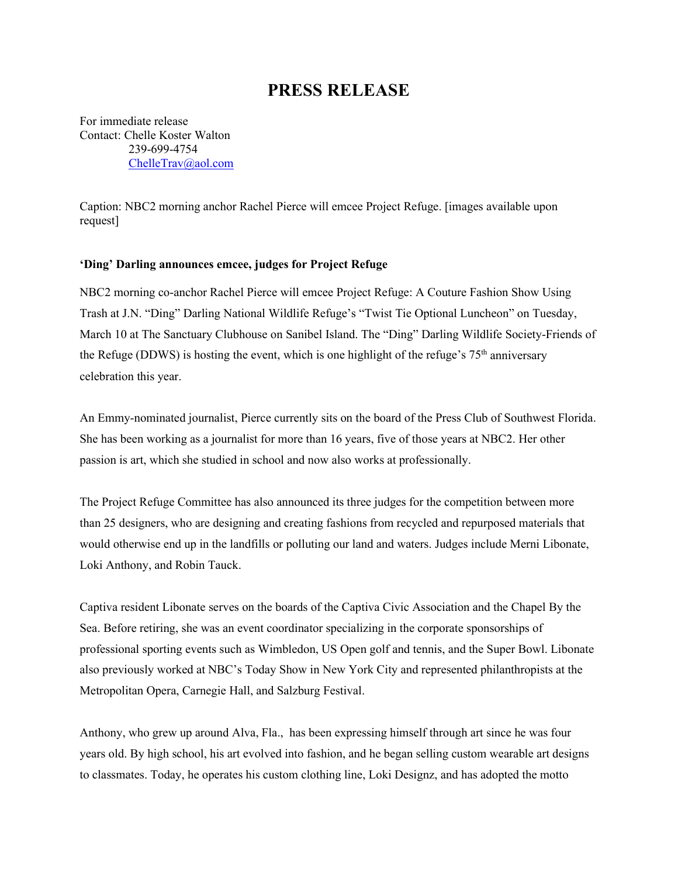## **PRESS RELEASE**

For immediate release Contact: Chelle Koster Walton 239-699-4754 [ChelleTrav@aol.com](mailto:ChelleTrav@aol.com)

Caption: NBC2 morning anchor Rachel Pierce will emcee Project Refuge. [images available upon request]

## **'Ding' Darling announces emcee, judges for Project Refuge**

NBC2 morning co-anchor Rachel Pierce will emcee Project Refuge: A Couture Fashion Show Using Trash at J.N. "Ding" Darling National Wildlife Refuge's "Twist Tie Optional Luncheon" on Tuesday, March 10 at The Sanctuary Clubhouse on Sanibel Island. The "Ding" Darling Wildlife Society-Friends of the Refuge (DDWS) is hosting the event, which is one highlight of the refuge's  $75<sup>th</sup>$  anniversary celebration this year.

An Emmy-nominated journalist, Pierce currently sits on the board of the Press Club of Southwest Florida. She has been working as a journalist for more than 16 years, five of those years at NBC2. Her other passion is art, which she studied in school and now also works at professionally.

The Project Refuge Committee has also announced its three judges for the competition between more than 25 designers, who are designing and creating fashions from recycled and repurposed materials that would otherwise end up in the landfills or polluting our land and waters. Judges include Merni Libonate, Loki Anthony, and Robin Tauck.

Captiva resident Libonate serves on the boards of the Captiva Civic Association and the Chapel By the Sea. Before retiring, she was an event coordinator specializing in the corporate sponsorships of professional sporting events such as Wimbledon, US Open golf and tennis, and the Super Bowl. Libonate also previously worked at NBC's Today Show in New York City and represented philanthropists at the Metropolitan Opera, Carnegie Hall, and Salzburg Festival.

Anthony, who grew up around Alva, Fla., has been expressing himself through art since he was four years old. By high school, his art evolved into fashion, and he began selling custom wearable art designs to classmates. Today, he operates his custom clothing line, Loki Designz, and has adopted the motto